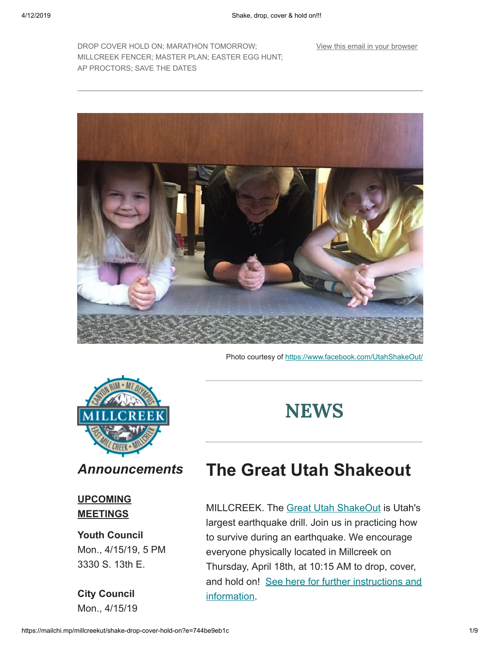[View this email in your browser](https://mailchi.mp/millcreekut/shake-drop-cover-hold-on?e=744be9eb1c)

DROP COVER HOLD ON; MARATHON TOMORROW; MILLCREEK FENCER; MASTER PLAN; EASTER EGG HUNT; AP PROCTORS; SAVE THE DATES



Photo courtesy of<https://www.facebook.com/UtahShakeOut/>



## **NEWS**

### *Announcements*

### **UPCOMING MEETINGS**

### **Youth Council**

Mon., 4/15/19, 5 PM 3330 S. 13th E.

**City Council** Mon., 4/15/19

## **The Great Utah Shakeout**

MILLCREEK. The [Great Utah ShakeOut](http://www.shakeout.org/utah/) is Utah's largest earthquake drill. Join us in practicing how to survive during an earthquake. We encourage everyone physically located in Millcreek on Thursday, April 18th, at 10:15 AM to drop, cover, [and hold on! See here for further instructions and](http://www.shakeout.org/utah/dropcoverholdon/) information.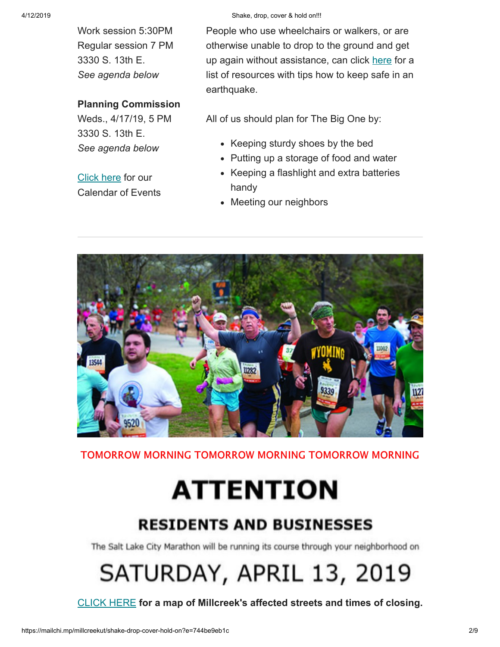Work session 5:30PM Regular session 7 PM 3330 S. 13th E. *See agenda below*

### **Planning Commission**

Weds., 4/17/19, 5 PM 3330 S. 13th E. *See agenda below*

[Click here](https://millcreek.us/calendar.aspx?view=list&year=2019&month=4&day=15&CID=14) for our Calendar of Events

### 4/12/2019 Shake, drop, cover & hold on!!!

People who use wheelchairs or walkers, or are otherwise unable to drop to the ground and get up again without assistance, can click [here](http://www.earthquakecountry.org/disability/) for a list of resources with tips how to keep safe in an earthquake.

All of us should plan for The Big One by:

- Keeping sturdy shoes by the bed
- Putting up a storage of food and water
- Keeping a flashlight and extra batteries handy
- Meeting our neighbors



TOMORROW MORNING TOMORROW MORNING TOMORROW MORNING

# **ATTENTION**

### **RESIDENTS AND BUSINESSES**

The Salt Lake City Marathon will be running its course through your neighborhood on

# SATURDAY, APRIL 13, 2019

[CLICK HERE](https://gallery.mailchimp.com/41cb21e12764b9940f492b953/images/957cf270-2c0c-4512-9945-6afcc6b1e47b.jpg) **for a map of Millcreek's affected streets and times of closing.**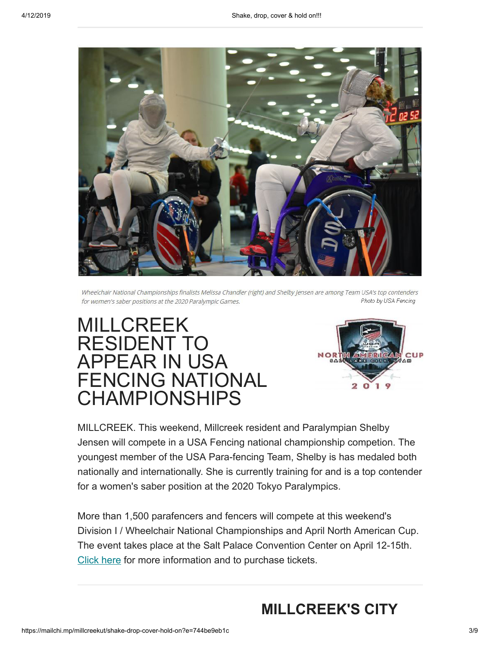

Wheelchair National Championships finalists Melissa Chandler (right) and Shelby Jensen are among Team USA's top contenders Photo by USA Fencing for women's saber positions at the 2020 Paralympic Games.

## MILLCREEK RESIDENT TO APPEAR IN USA FENCING NATIONAL CHAMPIONSHIPS



MILLCREEK. This weekend, Millcreek resident and Paralympian Shelby Jensen will compete in a USA Fencing national championship competion. The youngest member of the USA Para-fencing Team, Shelby is has medaled both nationally and internationally. She is currently training for and is a top contender for a women's saber position at the 2020 Tokyo Paralympics.

More than 1,500 parafencers and fencers will compete at this weekend's Division I / Wheelchair National Championships and April North American Cup. The event takes place at the Salt Palace Convention Center on April 12-15th. [Click here](https://www.usafencing.org/2019-championships-nac) for more information and to purchase tickets.

### **MILLCREEK'S CITY**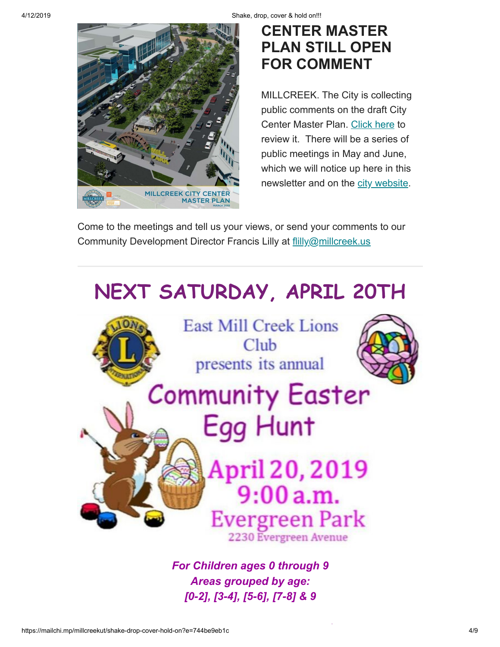4/12/2019 Shake, drop, cover & hold on!!!



### **CENTER MASTER PLAN STILL OPEN FOR COMMENT**

MILLCREEK. The City is collecting public comments on the draft City Center Master Plan. [Click here](https://millcreek.us/DocumentCenter/View/577/Millcreek-City-Center-Master-Plan-PDF) to review it. There will be a series of public meetings in May and June, which we will notice up here in this newsletter and on the [city website](https://millcreek.us/).

Come to the meetings and tell us your views, or send your comments to our Community Development Director Francis Lilly at [flilly@millcreek.us](mailto:flilly@millcreek.us?subject=Millcreek%20City%20Center%20Master%20Plan%20comment)



*For Children ages 0 through 9 Areas grouped by age: [0-2], [3-4], [5-6], [7-8] & 9*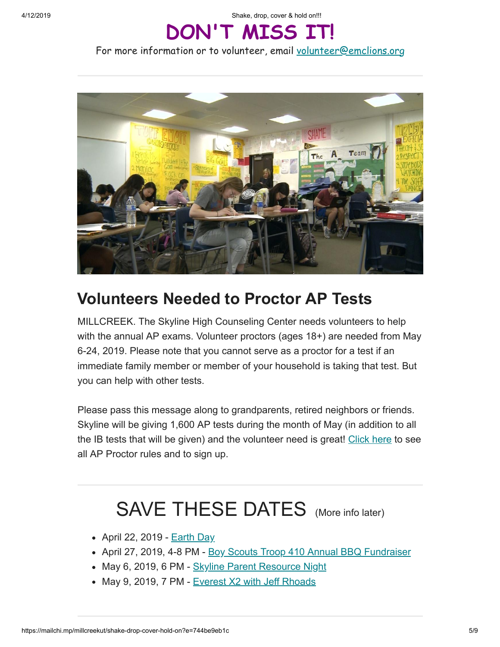4/12/2019 Shake, drop, cover & hold on!!!

## **DON'T MISS IT!**

For more information or to volunteer, email [volunteer@emclions.org](mailto:volunteer@emclions.org?subject=Easter%20Egg%20Hunt)



### **Volunteers Needed to Proctor AP Tests**

MILLCREEK. The Skyline High Counseling Center needs volunteers to help with the annual AP exams. Volunteer proctors (ages 18+) are needed from May 6-24, 2019. Please note that you cannot serve as a proctor for a test if an immediate family member or member of your household is taking that test. But you can help with other tests.

Please pass this message along to grandparents, retired neighbors or friends. Skyline will be giving 1,600 AP tests during the month of May (in addition to all the IB tests that will be given) and the volunteer need is great! [Click here](https://www.signupgenius.com/go/30e044aaba92ea2ff2-2019) to see all AP Proctor rules and to sign up.

## SAVE THESE DATES (More info later)

- April 22, 2019 **[Earth Day](https://www.earthday.org/)**
- April 27, 2019, 4-8 PM [Boy Scouts Troop 410 Annual BBQ Fundraiser](https://gallery.mailchimp.com/41cb21e12764b9940f492b953/images/7e548675-402c-4184-a7d1-660a8d78616c.jpeg)
- May 6, 2019, 6 PM [Skyline Parent Resource Night](https://gallery.mailchimp.com/41cb21e12764b9940f492b953/images/3cd4bab9-a073-432e-89db-960dd212e363.jpg)
- May 9, 2019, 7 PM [Everest X2 with Jeff Rhoads](https://gallery.mailchimp.com/41cb21e12764b9940f492b953/images/7de2c8c8-ad54-4ac9-b8ed-29958d94a6a1.jpg)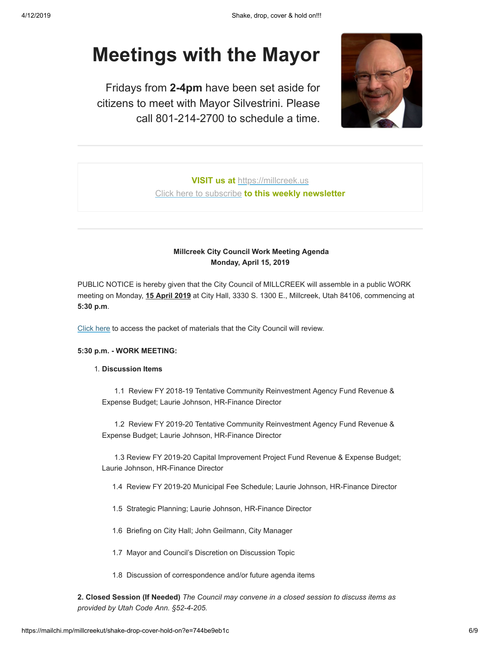## **Meetings with the Mayor**

Fridays from **2-4pm** have been set aside for citizens to meet with Mayor Silvestrini. Please call 801-214-2700 to schedule a time.



**VISIT us at** [https://millcreek.us](https://millcreek.us/) [Click here to subscribe](http://millcreekut.us1.list-manage.com/subscribe?u=41cb21e12764b9940f492b953&id=ce902d47c8) **to this weekly newsletter**

### **Millcreek City Council Work Meeting Agenda Monday, April 15, 2019**

PUBLIC NOTICE is hereby given that the City Council of MILLCREEK will assemble in a public WORK meeting on Monday, **15 April 2019** at City Hall, 3330 S. 1300 E., Millcreek, Utah 84106, commencing at **5:30 p.m**.

[Click here](https://millcreek.us/AgendaCenter/ViewFile/Agenda/_04152019-226?html=true) to access the packet of materials that the City Council will review.

#### **5:30 p.m. - WORK MEETING:**

### 1. **Discussion Items**

 1.1 Review FY 2018-19 Tentative Community Reinvestment Agency Fund Revenue & Expense Budget; Laurie Johnson, HR-Finance Director

 1.2 Review FY 2019-20 Tentative Community Reinvestment Agency Fund Revenue & Expense Budget; Laurie Johnson, HR-Finance Director

 1.3 Review FY 2019-20 Capital Improvement Project Fund Revenue & Expense Budget; Laurie Johnson, HR-Finance Director

- 1.4 Review FY 2019-20 Municipal Fee Schedule; Laurie Johnson, HR-Finance Director
- 1.5 Strategic Planning; Laurie Johnson, HR-Finance Director
- 1.6 Briefing on City Hall; John Geilmann, City Manager
- 1.7 Mayor and Council's Discretion on Discussion Topic
- 1.8 Discussion of correspondence and/or future agenda items

**2. Closed Session (If Needed)** *The Council may convene in a closed session to discuss items as provided by Utah Code Ann. §52-4-205.*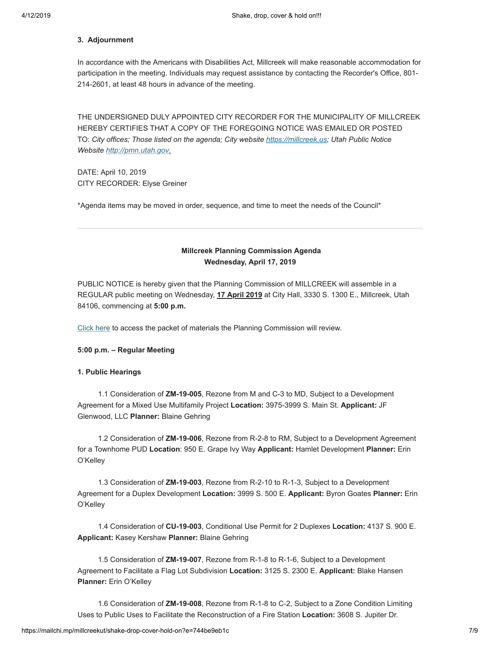#### **3. Adjournment**

In accordance with the Americans with Disabilities Act, Millcreek will make reasonable accommodation for participation in the meeting. Individuals may request assistance by contacting the Recorder's Office, 801- 214-2601, at least 48 hours in advance of the meeting.

THE UNDERSIGNED DULY APPOINTED CITY RECORDER FOR THE MUNICIPALITY OF MILLCREEK HEREBY CERTIFIES THAT A COPY OF THE FOREGOING NOTICE WAS EMAILED OR POSTED TO: *City offices; Those listed on the agenda; City website [https://millcreek.us](https://millcreek.us/); Utah Public Notice Website [http://pmn.utah.gov.](http://pmn.utah.gov/)*

DATE: April 10, 2019 CITY RECORDER: Elyse Greiner

\*Agenda items may be moved in order, sequence, and time to meet the needs of the Council\*

### **Millcreek Planning Commission Agenda Wednesday, April 17, 2019**

PUBLIC NOTICE is hereby given that the Planning Commission of MILLCREEK will assemble in a REGULAR public meeting on Wednesday, **17 April 2019** at City Hall, 3330 S. 1300 E., Millcreek, Utah 84106, commencing at **5:00 p.m.**

[Click here](https://millcreek.us/AgendaCenter/ViewFile/Agenda/_04172019-227?html=true) to access the packet of materials the Planning Commission will review.

#### **5:00 p.m. – Regular Meeting**

#### **1. Public Hearings**

 1.1 Consideration of **ZM-19-005**, Rezone from M and C-3 to MD, Subject to a Development Agreement for a Mixed Use Multifamily Project **Location:** 3975-3999 S. Main St. **Applicant:** JF Glenwood, LLC **Planner:** Blaine Gehring

 1.2 Consideration of **ZM-19-006**, Rezone from R-2-8 to RM, Subject to a Development Agreement for a Townhome PUD **Location**: 950 E. Grape Ivy Way **Applicant:** Hamlet Development **Planner:** Erin O'Kelley

 1.3 Consideration of **ZM-19-003**, Rezone from R-2-10 to R-1-3, Subject to a Development Agreement for a Duplex Development **Location:** 3999 S. 500 E. **Applicant:** Byron Goates **Planner:** Erin O'Kelley

 1.4 Consideration of **CU-19-003**, Conditional Use Permit for 2 Duplexes **Location:** 4137 S. 900 E. **Applicant:** Kasey Kershaw **Planner:** Blaine Gehring

 1.5 Consideration of **ZM-19-007**, Rezone from R-1-8 to R-1-6, Subject to a Development Agreement to Facilitate a Flag Lot Subdivision **Location:** 3125 S. 2300 E. **Applicant:** Blake Hansen **Planner:** Erin O'Kelley

 1.6 Consideration of **ZM-19-008**, Rezone from R-1-8 to C-2, Subject to a Zone Condition Limiting Uses to Public Uses to Facilitate the Reconstruction of a Fire Station **Location:** 3608 S. Jupiter Dr.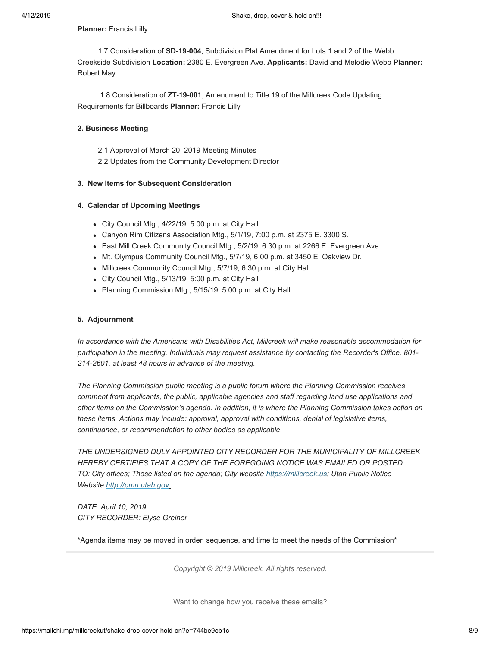**Planner:** Francis Lilly

 1.7 Consideration of **SD-19-004**, Subdivision Plat Amendment for Lots 1 and 2 of the Webb Creekside Subdivision **Location:** 2380 E. Evergreen Ave. **Applicants:** David and Melodie Webb **Planner:** Robert May

 1.8 Consideration of **ZT-19-001**, Amendment to Title 19 of the Millcreek Code Updating Requirements for Billboards **Planner:** Francis Lilly

### **2. Business Meeting**

2.1 Approval of March 20, 2019 Meeting Minutes

2.2 Updates from the Community Development Director

### **3. New Items for Subsequent Consideration**

### **4. Calendar of Upcoming Meetings**

- City Council Mtg., 4/22/19, 5:00 p.m. at City Hall
- Canyon Rim Citizens Association Mtg., 5/1/19, 7:00 p.m. at 2375 E. 3300 S.
- East Mill Creek Community Council Mtg., 5/2/19, 6:30 p.m. at 2266 E. Evergreen Ave.
- Mt. Olympus Community Council Mtg., 5/7/19, 6:00 p.m. at 3450 E. Oakview Dr.
- Millcreek Community Council Mtg., 5/7/19, 6:30 p.m. at City Hall
- City Council Mtg., 5/13/19, 5:00 p.m. at City Hall
- Planning Commission Mtg., 5/15/19, 5:00 p.m. at City Hall

### **5. Adjournment**

*In accordance with the Americans with Disabilities Act, Millcreek will make reasonable accommodation for participation in the meeting. Individuals may request assistance by contacting the Recorder's Office, 801- 214-2601, at least 48 hours in advance of the meeting.*

*The Planning Commission public meeting is a public forum where the Planning Commission receives comment from applicants, the public, applicable agencies and staff regarding land use applications and other items on the Commission's agenda. In addition, it is where the Planning Commission takes action on these items. Actions may include: approval, approval with conditions, denial of legislative items, continuance, or recommendation to other bodies as applicable.*

*THE UNDERSIGNED DULY APPOINTED CITY RECORDER FOR THE MUNICIPALITY OF MILLCREEK HEREBY CERTIFIES THAT A COPY OF THE FOREGOING NOTICE WAS EMAILED OR POSTED TO: City offices; Those listed on the agenda; City website [https://millcreek.us](https://millcreek.us/); Utah Public Notice Website [http://pmn.utah.gov.](http://pmn.utah.gov/)*

*DATE: April 10, 2019 CITY RECORDER: Elyse Greiner*

\*Agenda items may be moved in order, sequence, and time to meet the needs of the Commission\*

*Copyright © 2019 Millcreek, All rights reserved.*

Want to change how you receive these emails?